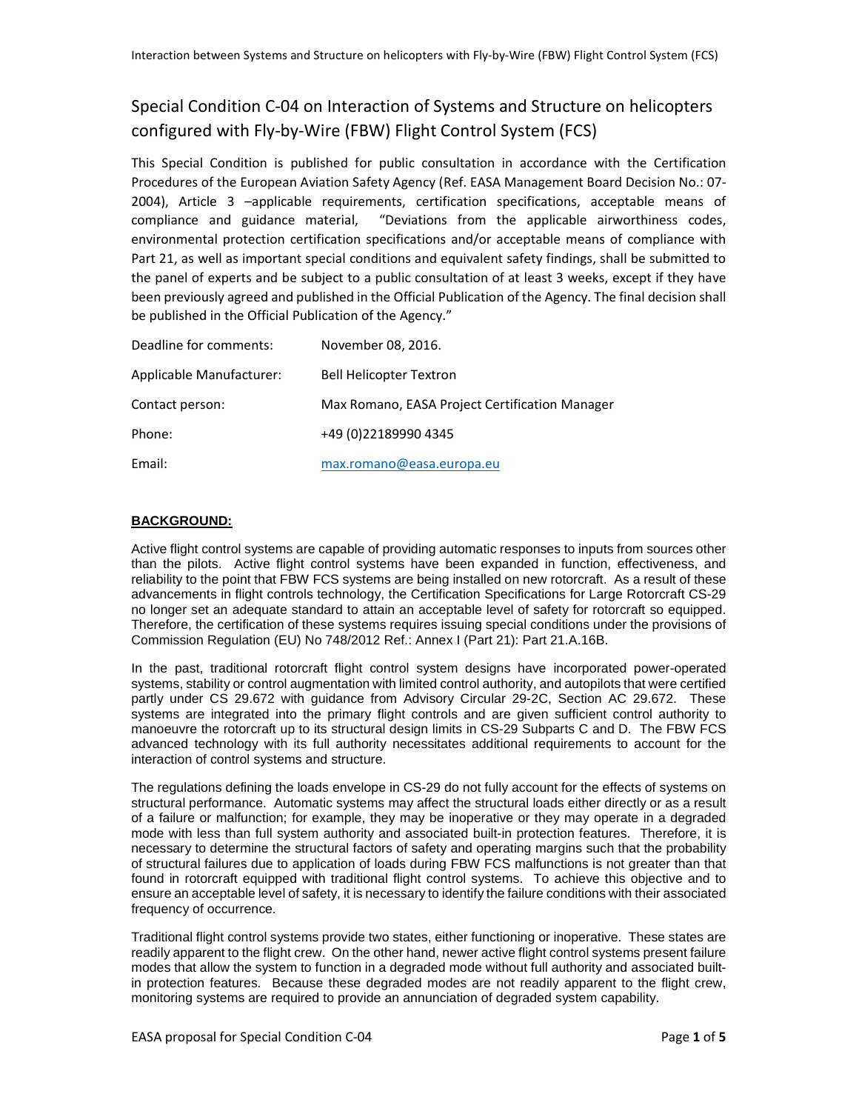# Special Condition C-04 on Interaction of Systems and Structure on helicopters configured with Fly-by-Wire (FBW) Flight Control System (FCS)

This Special Condition is published for public consultation in accordance with the Certification Procedures of the European Aviation Safety Agency (Ref. EASA Management Board Decision No.: 07- 2004), Article 3 –applicable requirements, certification specifications, acceptable means of compliance and guidance material, "Deviations from the applicable airworthiness codes, environmental protection certification specifications and/or acceptable means of compliance with Part 21, as well as important special conditions and equivalent safety findings, shall be submitted to the panel of experts and be subject to a public consultation of at least 3 weeks, except if they have been previously agreed and published in the Official Publication of the Agency. The final decision shall be published in the Official Publication of the Agency."

| Deadline for comments:   | November 08, 2016.                             |
|--------------------------|------------------------------------------------|
| Applicable Manufacturer: | <b>Bell Helicopter Textron</b>                 |
| Contact person:          | Max Romano, EASA Project Certification Manager |
| Phone:                   | +49 (0)22189990 4345                           |
| Email:                   | max.romano@easa.europa.eu                      |

# **BACKGROUND:**

Active flight control systems are capable of providing automatic responses to inputs from sources other than the pilots. Active flight control systems have been expanded in function, effectiveness, and reliability to the point that FBW FCS systems are being installed on new rotorcraft. As a result of these advancements in flight controls technology, the Certification Specifications for Large Rotorcraft CS-29 no longer set an adequate standard to attain an acceptable level of safety for rotorcraft so equipped. Therefore, the certification of these systems requires issuing special conditions under the provisions of Commission Regulation (EU) No 748/2012 Ref.: Annex I (Part 21): Part 21.A.16B.

In the past, traditional rotorcraft flight control system designs have incorporated power-operated systems, stability or control augmentation with limited control authority, and autopilots that were certified partly under CS 29.672 with guidance from Advisory Circular 29-2C, Section AC 29.672. These systems are integrated into the primary flight controls and are given sufficient control authority to manoeuvre the rotorcraft up to its structural design limits in CS-29 Subparts C and D. The FBW FCS advanced technology with its full authority necessitates additional requirements to account for the interaction of control systems and structure.

The regulations defining the loads envelope in CS-29 do not fully account for the effects of systems on structural performance. Automatic systems may affect the structural loads either directly or as a result of a failure or malfunction; for example, they may be inoperative or they may operate in a degraded mode with less than full system authority and associated built-in protection features. Therefore, it is necessary to determine the structural factors of safety and operating margins such that the probability of structural failures due to application of loads during FBW FCS malfunctions is not greater than that found in rotorcraft equipped with traditional flight control systems. To achieve this objective and to ensure an acceptable level of safety, it is necessary to identify the failure conditions with their associated frequency of occurrence.

Traditional flight control systems provide two states, either functioning or inoperative. These states are readily apparent to the flight crew. On the other hand, newer active flight control systems present failure modes that allow the system to function in a degraded mode without full authority and associated builtin protection features. Because these degraded modes are not readily apparent to the flight crew, monitoring systems are required to provide an annunciation of degraded system capability.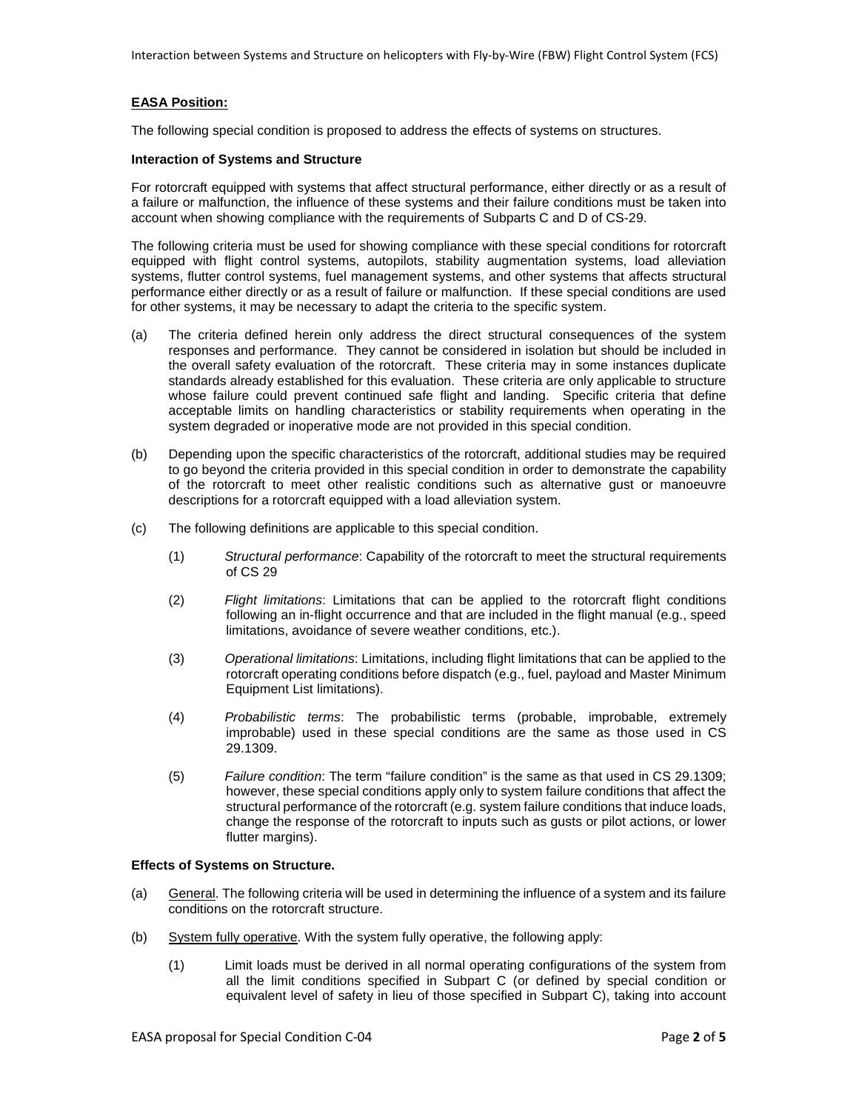Interaction between Systems and Structure on helicopters with Fly-by-Wire (FBW) Flight Control System (FCS)

## **EASA Position:**

The following special condition is proposed to address the effects of systems on structures.

#### **Interaction of Systems and Structure**

For rotorcraft equipped with systems that affect structural performance, either directly or as a result of a failure or malfunction, the influence of these systems and their failure conditions must be taken into account when showing compliance with the requirements of Subparts C and D of CS-29.

The following criteria must be used for showing compliance with these special conditions for rotorcraft equipped with flight control systems, autopilots, stability augmentation systems, load alleviation systems, flutter control systems, fuel management systems, and other systems that affects structural performance either directly or as a result of failure or malfunction. If these special conditions are used for other systems, it may be necessary to adapt the criteria to the specific system.

- (a) The criteria defined herein only address the direct structural consequences of the system responses and performance. They cannot be considered in isolation but should be included in the overall safety evaluation of the rotorcraft. These criteria may in some instances duplicate standards already established for this evaluation. These criteria are only applicable to structure whose failure could prevent continued safe flight and landing. Specific criteria that define acceptable limits on handling characteristics or stability requirements when operating in the system degraded or inoperative mode are not provided in this special condition.
- (b) Depending upon the specific characteristics of the rotorcraft, additional studies may be required to go beyond the criteria provided in this special condition in order to demonstrate the capability of the rotorcraft to meet other realistic conditions such as alternative gust or manoeuvre descriptions for a rotorcraft equipped with a load alleviation system.
- (c) The following definitions are applicable to this special condition.
	- (1) Structural performance: Capability of the rotorcraft to meet the structural requirements of CS 29
	- (2) Flight limitations: Limitations that can be applied to the rotorcraft flight conditions following an in-flight occurrence and that are included in the flight manual (e.g., speed limitations, avoidance of severe weather conditions, etc.).
	- (3) Operational limitations: Limitations, including flight limitations that can be applied to the rotorcraft operating conditions before dispatch (e.g., fuel, payload and Master Minimum Equipment List limitations).
	- (4) Probabilistic terms: The probabilistic terms (probable, improbable, extremely improbable) used in these special conditions are the same as those used in CS 29.1309.
	- (5) Failure condition: The term "failure condition" is the same as that used in CS 29.1309; however, these special conditions apply only to system failure conditions that affect the structural performance of the rotorcraft (e.g. system failure conditions that induce loads, change the response of the rotorcraft to inputs such as gusts or pilot actions, or lower flutter margins).

### **Effects of Systems on Structure.**

- (a) General. The following criteria will be used in determining the influence of a system and its failure conditions on the rotorcraft structure.
- (b) System fully operative. With the system fully operative, the following apply:
	- (1) Limit loads must be derived in all normal operating configurations of the system from all the limit conditions specified in Subpart C (or defined by special condition or equivalent level of safety in lieu of those specified in Subpart C), taking into account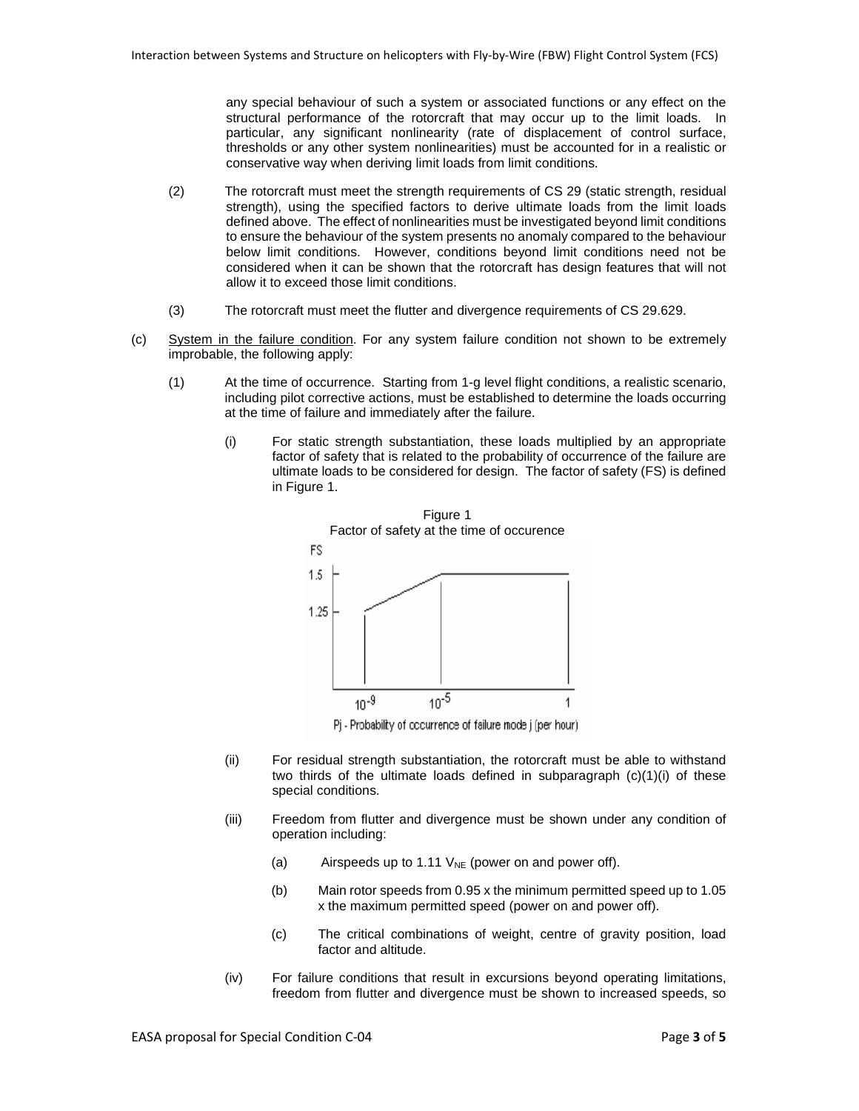any special behaviour of such a system or associated functions or any effect on the structural performance of the rotorcraft that may occur up to the limit loads. In particular, any significant nonlinearity (rate of displacement of control surface, thresholds or any other system nonlinearities) must be accounted for in a realistic or conservative way when deriving limit loads from limit conditions.

- (2) The rotorcraft must meet the strength requirements of CS 29 (static strength, residual strength), using the specified factors to derive ultimate loads from the limit loads defined above. The effect of nonlinearities must be investigated beyond limit conditions to ensure the behaviour of the system presents no anomaly compared to the behaviour below limit conditions. However, conditions beyond limit conditions need not be considered when it can be shown that the rotorcraft has design features that will not allow it to exceed those limit conditions.
- (3) The rotorcraft must meet the flutter and divergence requirements of CS 29.629.
- (c) System in the failure condition. For any system failure condition not shown to be extremely improbable, the following apply:
	- (1) At the time of occurrence. Starting from 1-g level flight conditions, a realistic scenario, including pilot corrective actions, must be established to determine the loads occurring at the time of failure and immediately after the failure.

Figure 1

(i) For static strength substantiation, these loads multiplied by an appropriate factor of safety that is related to the probability of occurrence of the failure are ultimate loads to be considered for design. The factor of safety (FS) is defined in Figure 1.



Pj - Probability of occurrence of failure mode j (per hour)

- (ii) For residual strength substantiation, the rotorcraft must be able to withstand two thirds of the ultimate loads defined in subparagraph  $(c)(1)(i)$  of these special conditions.
- (iii) Freedom from flutter and divergence must be shown under any condition of operation including:
	- (a) Airspeeds up to 1.11  $V_{NE}$  (power on and power off).
	- (b) Main rotor speeds from 0.95 x the minimum permitted speed up to 1.05 x the maximum permitted speed (power on and power off).
	- (c) The critical combinations of weight, centre of gravity position, load factor and altitude.
- (iv) For failure conditions that result in excursions beyond operating limitations, freedom from flutter and divergence must be shown to increased speeds, so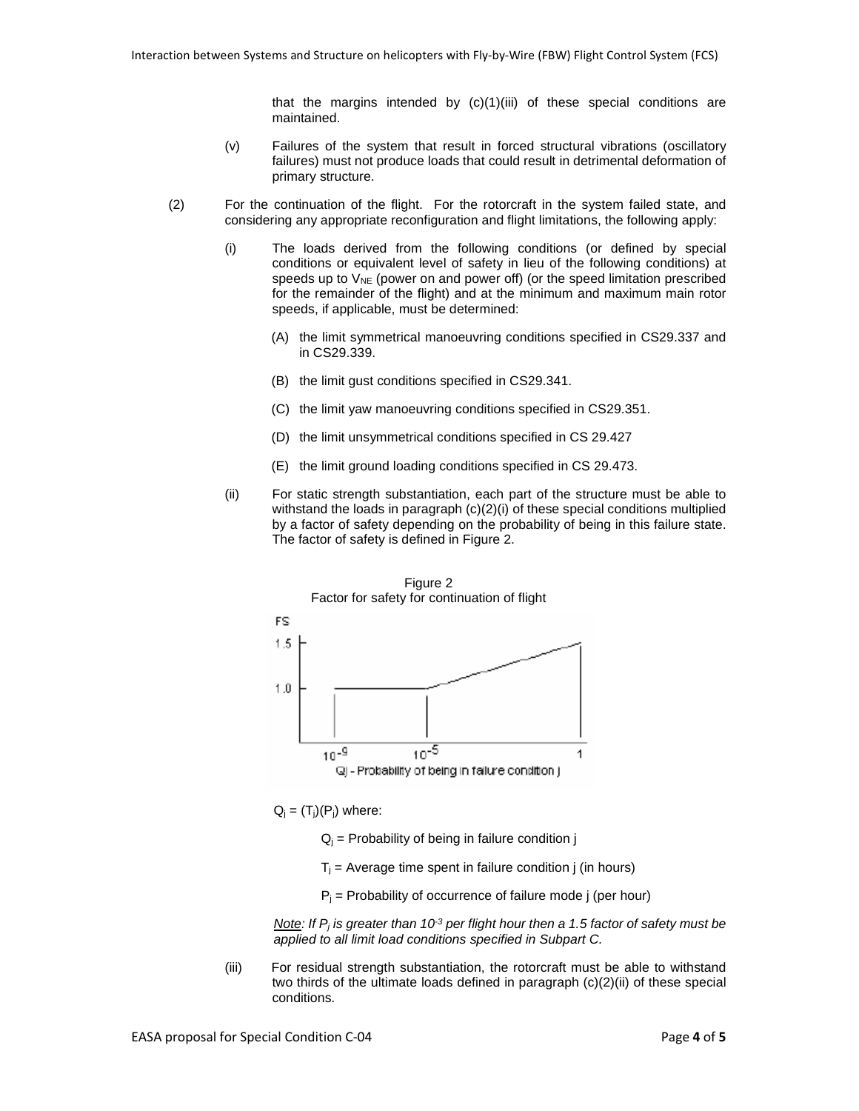that the margins intended by  $(c)(1)(iii)$  of these special conditions are maintained.

- (v) Failures of the system that result in forced structural vibrations (oscillatory failures) must not produce loads that could result in detrimental deformation of primary structure.
- (2) For the continuation of the flight. For the rotorcraft in the system failed state, and considering any appropriate reconfiguration and flight limitations, the following apply:
	- (i) The loads derived from the following conditions (or defined by special conditions or equivalent level of safety in lieu of the following conditions) at speeds up to  $V_{NE}$  (power on and power off) (or the speed limitation prescribed for the remainder of the flight) and at the minimum and maximum main rotor speeds, if applicable, must be determined:
		- (A) the limit symmetrical manoeuvring conditions specified in CS29.337 and in CS29.339.
		- (B) the limit gust conditions specified in CS29.341.
		- (C) the limit yaw manoeuvring conditions specified in CS29.351.
		- (D) the limit unsymmetrical conditions specified in CS 29.427
		- (E) the limit ground loading conditions specified in CS 29.473.
	- (ii) For static strength substantiation, each part of the structure must be able to withstand the loads in paragraph (c)(2)(i) of these special conditions multiplied by a factor of safety depending on the probability of being in this failure state. The factor of safety is defined in Figure 2.





 $Q_i = (T_i)(P_i)$  where:

 $Q_i$  = Probability of being in failure condition j

 $T_i$  = Average time spent in failure condition j (in hours)

 $P_i$  = Probability of occurrence of failure mode j (per hour)

Note: If P<sub>i</sub> is greater than 10<sup>-3</sup> per flight hour then a 1.5 factor of safety must be applied to all limit load conditions specified in Subpart C.

(iii) For residual strength substantiation, the rotorcraft must be able to withstand two thirds of the ultimate loads defined in paragraph (c)(2)(ii) of these special conditions.